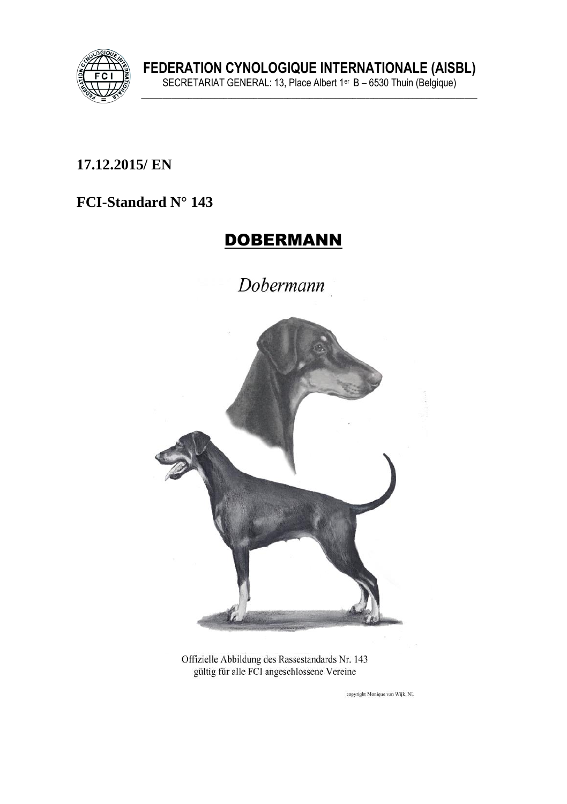

FEDERATION CYNOLOGIQUE INTERNATIONALE (AISBL)<br>SECRETARIAT GENERAL: 13, Place Albert 1<sup>er</sup> B – 6530 Thuin (Belgique)

### 17.12.2015/ EN

#### FCI-Standard N° 143

## **DOBERMANN**

Dobermann



Offizielle Abbildung des Rassestandards Nr. 143 gültig für alle FCI angeschlossene Vereine

copyright Monique van Wijk, NL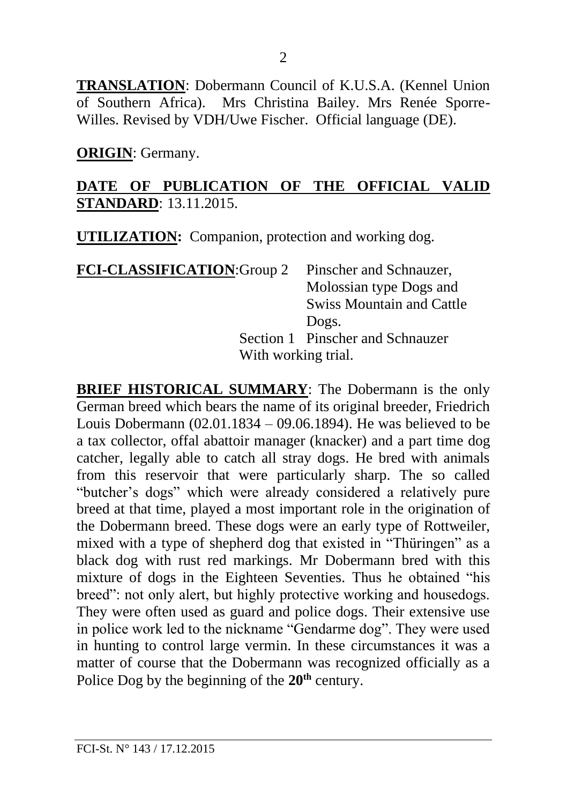**TRANSLATION**: Dobermann Council of K.U.S.A. (Kennel Union of Southern Africa). Mrs Christina Bailey. Mrs Renée Sporre-Willes. Revised by VDH/Uwe Fischer. Official language (DE).

**ORIGIN**: Germany.

### **DATE OF PUBLICATION OF THE OFFICIAL VALID STANDARD**: 13.11.2015.

**UTILIZATION:** Companion, protection and working dog.

| <b>FCI-CLASSIFICATION: Group 2</b> | Pinscher and Schnauzer,          |  |  |
|------------------------------------|----------------------------------|--|--|
|                                    | Molossian type Dogs and          |  |  |
|                                    | <b>Swiss Mountain and Cattle</b> |  |  |
|                                    | Dogs.                            |  |  |
|                                    | Section 1 Pinscher and Schnauzer |  |  |
|                                    | With working trial.              |  |  |

**BRIEF HISTORICAL SUMMARY**: The Dobermann is the only German breed which bears the name of its original breeder, Friedrich Louis Dobermann (02.01.1834 – 09.06.1894). He was believed to be a tax collector, offal abattoir manager (knacker) and a part time dog catcher, legally able to catch all stray dogs. He bred with animals from this reservoir that were particularly sharp. The so called "butcher's dogs" which were already considered a relatively pure breed at that time, played a most important role in the origination of the Dobermann breed. These dogs were an early type of Rottweiler, mixed with a type of shepherd dog that existed in "Thüringen" as a black dog with rust red markings. Mr Dobermann bred with this mixture of dogs in the Eighteen Seventies. Thus he obtained "his breed": not only alert, but highly protective working and housedogs. They were often used as guard and police dogs. Their extensive use in police work led to the nickname "Gendarme dog". They were used in hunting to control large vermin. In these circumstances it was a matter of course that the Dobermann was recognized officially as a Police Dog by the beginning of the **20th** century.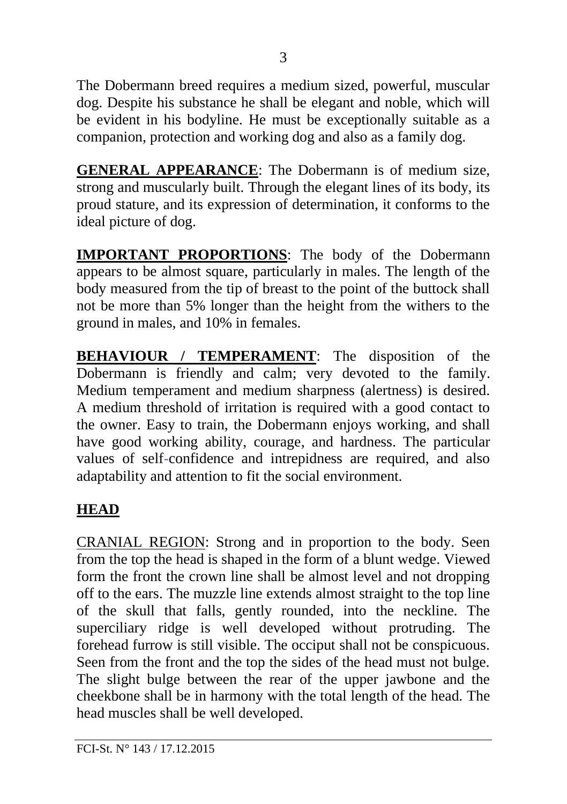The Dobermann breed requires a medium sized, powerful, muscular dog. Despite his substance he shall be elegant and noble, which will be evident in his bodyline. He must be exceptionally suitable as a companion, protection and working dog and also as a family dog.

**GENERAL APPEARANCE**: The Dobermann is of medium size, strong and muscularly built. Through the elegant lines of its body, its proud stature, and its expression of determination, it conforms to the ideal picture of dog.

**IMPORTANT PROPORTIONS**: The body of the Dobermann appears to be almost square, particularly in males. The length of the body measured from the tip of breast to the point of the buttock shall not be more than 5% longer than the height from the withers to the ground in males, and 10% in females.

**BEHAVIOUR / TEMPERAMENT**: The disposition of the Dobermann is friendly and calm; very devoted to the family. Medium temperament and medium sharpness (alertness) is desired. A medium threshold of irritation is required with a good contact to the owner. Easy to train, the Dobermann enjoys working, and shall have good working ability, courage, and hardness. The particular values of self-confidence and intrepidness are required, and also adaptability and attention to fit the social environment.

# **HEAD**

CRANIAL REGION: Strong and in proportion to the body. Seen from the top the head is shaped in the form of a blunt wedge. Viewed form the front the crown line shall be almost level and not dropping off to the ears. The muzzle line extends almost straight to the top line of the skull that falls, gently rounded, into the neckline. The superciliary ridge is well developed without protruding. The forehead furrow is still visible. The occiput shall not be conspicuous. Seen from the front and the top the sides of the head must not bulge. The slight bulge between the rear of the upper jawbone and the cheekbone shall be in harmony with the total length of the head. The head muscles shall be well developed.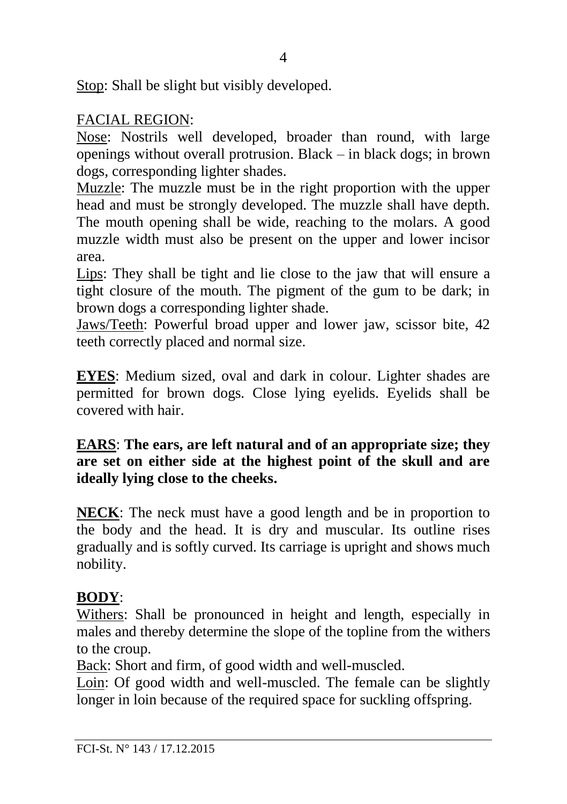Stop: Shall be slight but visibly developed.

### FACIAL REGION:

Nose: Nostrils well developed, broader than round, with large openings without overall protrusion. Black – in black dogs; in brown dogs, corresponding lighter shades.

Muzzle: The muzzle must be in the right proportion with the upper head and must be strongly developed. The muzzle shall have depth. The mouth opening shall be wide, reaching to the molars. A good muzzle width must also be present on the upper and lower incisor area.

Lips: They shall be tight and lie close to the jaw that will ensure a tight closure of the mouth. The pigment of the gum to be dark; in brown dogs a corresponding lighter shade.

Jaws/Teeth: Powerful broad upper and lower jaw, scissor bite, 42 teeth correctly placed and normal size.

**EYES**: Medium sized, oval and dark in colour. Lighter shades are permitted for brown dogs. Close lying eyelids. Eyelids shall be covered with hair.

**EARS**: **The ears, are left natural and of an appropriate size; they are set on either side at the highest point of the skull and are ideally lying close to the cheeks.** 

**NECK**: The neck must have a good length and be in proportion to the body and the head. It is dry and muscular. Its outline rises gradually and is softly curved. Its carriage is upright and shows much nobility.

## **BODY**:

Withers: Shall be pronounced in height and length, especially in males and thereby determine the slope of the topline from the withers to the croup.

Back: Short and firm, of good width and well-muscled.

Loin: Of good width and well-muscled. The female can be slightly longer in loin because of the required space for suckling offspring.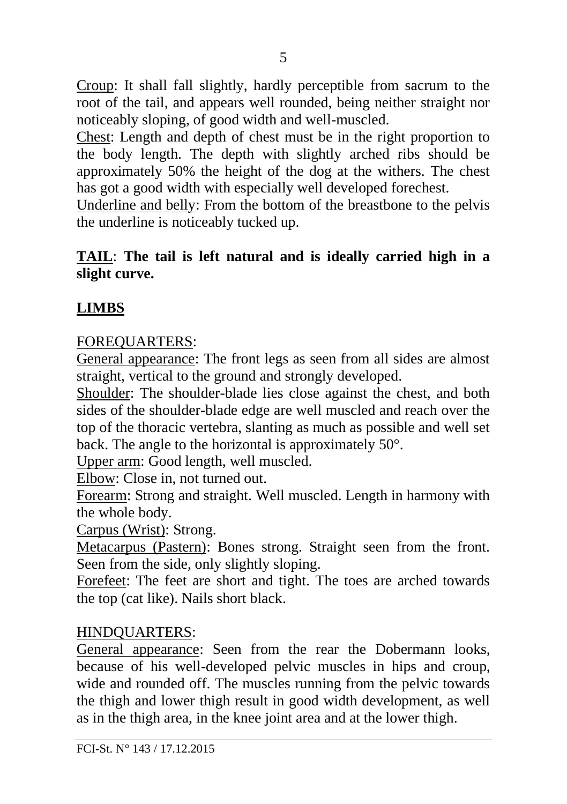Croup: It shall fall slightly, hardly perceptible from sacrum to the root of the tail, and appears well rounded, being neither straight nor noticeably sloping, of good width and well-muscled.

Chest: Length and depth of chest must be in the right proportion to the body length. The depth with slightly arched ribs should be approximately 50% the height of the dog at the withers. The chest has got a good width with especially well developed forechest.

Underline and belly: From the bottom of the breastbone to the pelvis the underline is noticeably tucked up.

### **TAIL**: **The tail is left natural and is ideally carried high in a slight curve.**

## **LIMBS**

#### FOREQUARTERS:

General appearance: The front legs as seen from all sides are almost straight, vertical to the ground and strongly developed.

Shoulder: The shoulder-blade lies close against the chest, and both sides of the shoulder-blade edge are well muscled and reach over the top of the thoracic vertebra, slanting as much as possible and well set back. The angle to the horizontal is approximately 50°.

Upper arm: Good length, well muscled.

Elbow: Close in, not turned out.

Forearm: Strong and straight. Well muscled. Length in harmony with the whole body.

Carpus (Wrist): Strong.

Metacarpus (Pastern): Bones strong. Straight seen from the front. Seen from the side, only slightly sloping.

Forefeet: The feet are short and tight. The toes are arched towards the top (cat like). Nails short black.

#### HINDQUARTERS:

General appearance: Seen from the rear the Dobermann looks, because of his well-developed pelvic muscles in hips and croup, wide and rounded off. The muscles running from the pelvic towards the thigh and lower thigh result in good width development, as well as in the thigh area, in the knee joint area and at the lower thigh.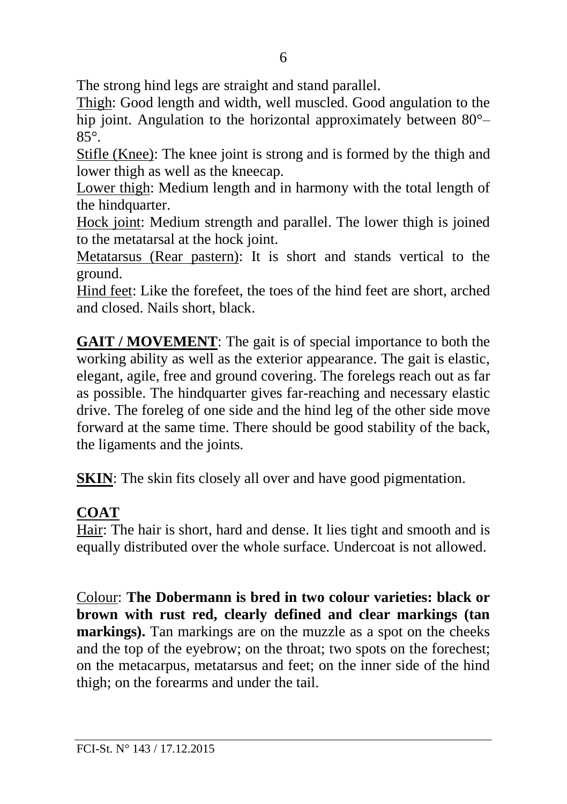The strong hind legs are straight and stand parallel.

Thigh: Good length and width, well muscled. Good angulation to the hip joint. Angulation to the horizontal approximately between  $80^{\circ}$ – 85°.

Stifle (Knee): The knee joint is strong and is formed by the thigh and lower thigh as well as the kneecap.

Lower thigh: Medium length and in harmony with the total length of the hindquarter.

Hock joint: Medium strength and parallel. The lower thigh is joined to the metatarsal at the hock joint.

Metatarsus (Rear pastern): It is short and stands vertical to the ground.

Hind feet: Like the forefeet, the toes of the hind feet are short, arched and closed. Nails short, black.

**GAIT / MOVEMENT**: The gait is of special importance to both the working ability as well as the exterior appearance. The gait is elastic, elegant, agile, free and ground covering. The forelegs reach out as far as possible. The hindquarter gives far-reaching and necessary elastic drive. The foreleg of one side and the hind leg of the other side move forward at the same time. There should be good stability of the back, the ligaments and the joints.

**SKIN:** The skin fits closely all over and have good pigmentation.

# **COAT**

Hair: The hair is short, hard and dense. It lies tight and smooth and is equally distributed over the whole surface. Undercoat is not allowed.

Colour: **The Dobermann is bred in two colour varieties: black or brown with rust red, clearly defined and clear markings (tan markings).** Tan markings are on the muzzle as a spot on the cheeks and the top of the eyebrow; on the throat; two spots on the forechest; on the metacarpus, metatarsus and feet; on the inner side of the hind thigh; on the forearms and under the tail.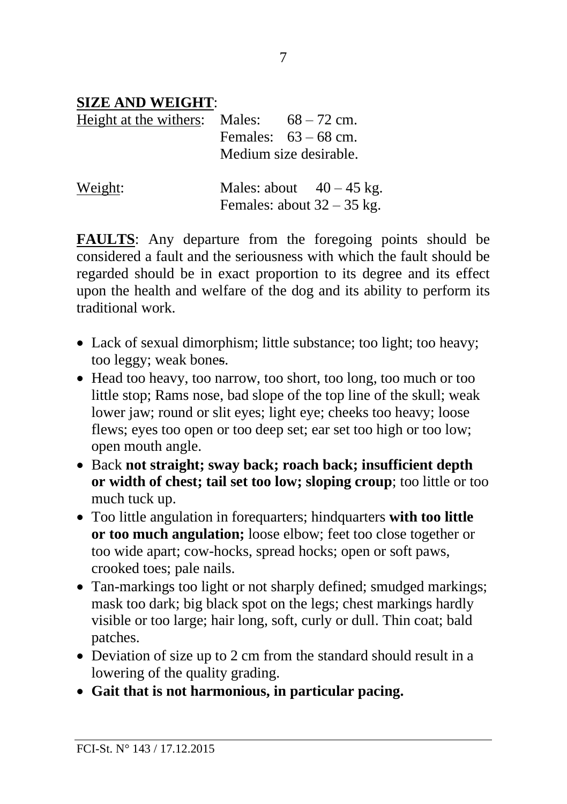## **SIZE AND WEIGHT**:

| Height at the withers: Males: $68-72$ cm. |                        |  |                              |
|-------------------------------------------|------------------------|--|------------------------------|
|                                           | Females: $63 - 68$ cm. |  |                              |
|                                           | Medium size desirable. |  |                              |
| Weight:                                   |                        |  | Males: about $40-45$ kg.     |
|                                           |                        |  | Females: about $32 - 35$ kg. |

**FAULTS**: Any departure from the foregoing points should be considered a fault and the seriousness with which the fault should be regarded should be in exact proportion to its degree and its effect upon the health and welfare of the dog and its ability to perform its traditional work.

- Lack of sexual dimorphism; little substance; too light; too heavy; too leggy; weak bones.
- Head too heavy, too narrow, too short, too long, too much or too little stop; Rams nose, bad slope of the top line of the skull; weak lower jaw; round or slit eyes; light eye; cheeks too heavy; loose flews; eyes too open or too deep set; ear set too high or too low; open mouth angle.
- Back **not straight; sway back; roach back; insufficient depth or width of chest; tail set too low; sloping croup**; too little or too much tuck up.
- Too little angulation in forequarters; hindquarters **with too little or too much angulation;** loose elbow; feet too close together or too wide apart; cow-hocks, spread hocks; open or soft paws, crooked toes; pale nails.
- Tan-markings too light or not sharply defined; smudged markings; mask too dark; big black spot on the legs; chest markings hardly visible or too large; hair long, soft, curly or dull. Thin coat; bald patches.
- Deviation of size up to 2 cm from the standard should result in a lowering of the quality grading.
- **Gait that is not harmonious, in particular pacing.**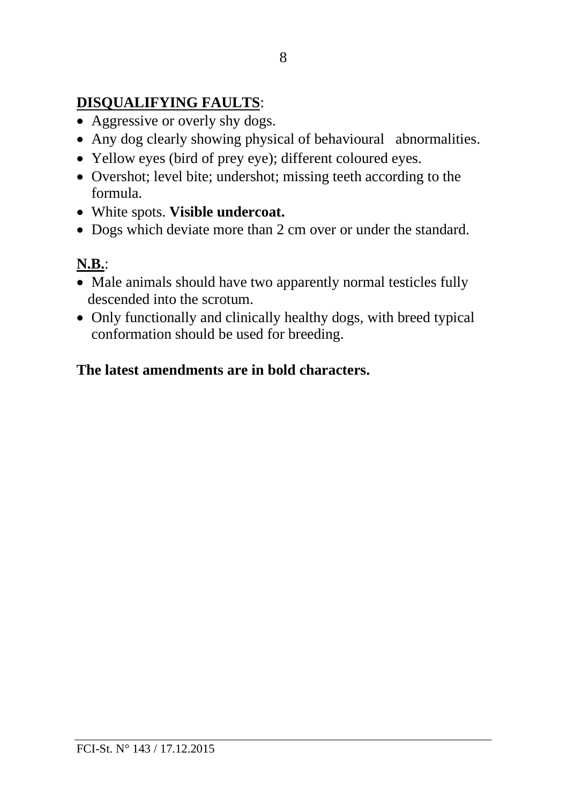## **DISQUALIFYING FAULTS**:

- Aggressive or overly shy dogs.
- Any dog clearly showing physical of behavioural abnormalities.
- Yellow eyes (bird of prey eye); different coloured eyes.
- Overshot; level bite; undershot; missing teeth according to the formula.
- White spots. **Visible undercoat.**
- Dogs which deviate more than 2 cm over or under the standard.

# **N.B.**:

- Male animals should have two apparently normal testicles fully descended into the scrotum.
- Only functionally and clinically healthy dogs, with breed typical conformation should be used for breeding.

# **The latest amendments are in bold characters.**